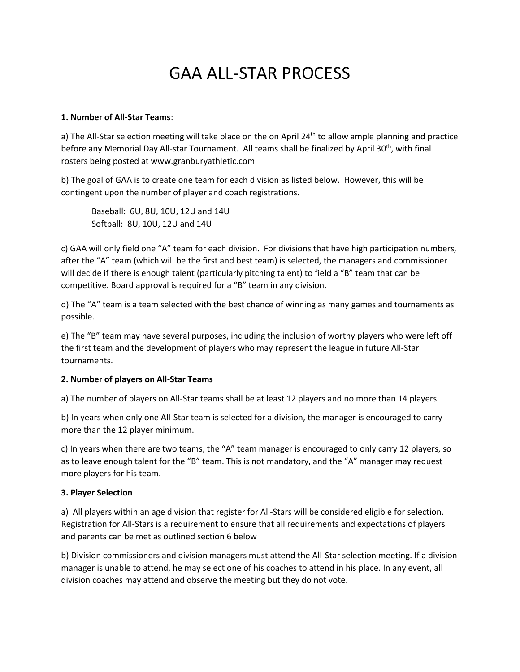# GAA ALL-STAR PROCESS

#### **1. Number of All-Star Teams**:

a) The All-Star selection meeting will take place on the on April  $24<sup>th</sup>$  to allow ample planning and practice before any Memorial Day All-star Tournament. All teams shall be finalized by April 30<sup>th</sup>, with final rosters being posted at www.granburyathletic.com

b) The goal of GAA is to create one team for each division as listed below. However, this will be contingent upon the number of player and coach registrations.

Baseball: 6U, 8U, 10U, 12U and 14U Softball: 8U, 10U, 12U and 14U

c) GAA will only field one "A" team for each division. For divisions that have high participation numbers, after the "A" team (which will be the first and best team) is selected, the managers and commissioner will decide if there is enough talent (particularly pitching talent) to field a "B" team that can be competitive. Board approval is required for a "B" team in any division.

d) The "A" team is a team selected with the best chance of winning as many games and tournaments as possible.

e) The "B" team may have several purposes, including the inclusion of worthy players who were left off the first team and the development of players who may represent the league in future All-Star tournaments.

#### **2. Number of players on All-Star Teams**

a) The number of players on All-Star teams shall be at least 12 players and no more than 14 players

b) In years when only one All-Star team is selected for a division, the manager is encouraged to carry more than the 12 player minimum.

c) In years when there are two teams, the "A" team manager is encouraged to only carry 12 players, so as to leave enough talent for the "B" team. This is not mandatory, and the "A" manager may request more players for his team.

#### **3. Player Selection**

a) All players within an age division that register for All-Stars will be considered eligible for selection. Registration for All-Stars is a requirement to ensure that all requirements and expectations of players and parents can be met as outlined section 6 below

b) Division commissioners and division managers must attend the All-Star selection meeting. If a division manager is unable to attend, he may select one of his coaches to attend in his place. In any event, all division coaches may attend and observe the meeting but they do not vote.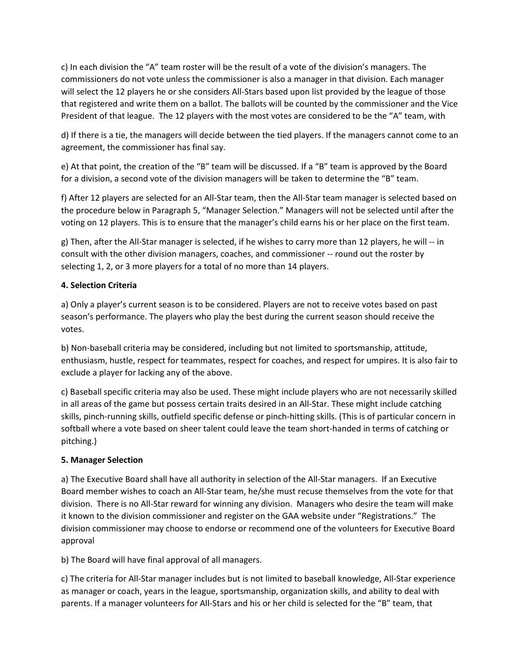c) In each division the "A" team roster will be the result of a vote of the division's managers. The commissioners do not vote unless the commissioner is also a manager in that division. Each manager will select the 12 players he or she considers All-Stars based upon list provided by the league of those that registered and write them on a ballot. The ballots will be counted by the commissioner and the Vice President of that league. The 12 players with the most votes are considered to be the "A" team, with

d) If there is a tie, the managers will decide between the tied players. If the managers cannot come to an agreement, the commissioner has final say.

e) At that point, the creation of the "B" team will be discussed. If a "B" team is approved by the Board for a division, a second vote of the division managers will be taken to determine the "B" team.

f) After 12 players are selected for an All-Star team, then the All-Star team manager is selected based on the procedure below in Paragraph 5, "Manager Selection." Managers will not be selected until after the voting on 12 players. This is to ensure that the manager's child earns his or her place on the first team.

g) Then, after the All-Star manager is selected, if he wishes to carry more than 12 players, he will -- in consult with the other division managers, coaches, and commissioner -- round out the roster by selecting 1, 2, or 3 more players for a total of no more than 14 players.

## **4. Selection Criteria**

a) Only a player's current season is to be considered. Players are not to receive votes based on past season's performance. The players who play the best during the current season should receive the votes.

b) Non-baseball criteria may be considered, including but not limited to sportsmanship, attitude, enthusiasm, hustle, respect for teammates, respect for coaches, and respect for umpires. It is also fair to exclude a player for lacking any of the above.

c) Baseball specific criteria may also be used. These might include players who are not necessarily skilled in all areas of the game but possess certain traits desired in an All-Star. These might include catching skills, pinch-running skills, outfield specific defense or pinch-hitting skills. (This is of particular concern in softball where a vote based on sheer talent could leave the team short-handed in terms of catching or pitching.)

## **5. Manager Selection**

a) The Executive Board shall have all authority in selection of the All-Star managers. If an Executive Board member wishes to coach an All-Star team, he/she must recuse themselves from the vote for that division. There is no All-Star reward for winning any division. Managers who desire the team will make it known to the division commissioner and register on the GAA website under "Registrations." The division commissioner may choose to endorse or recommend one of the volunteers for Executive Board approval

b) The Board will have final approval of all managers.

c) The criteria for All-Star manager includes but is not limited to baseball knowledge, All-Star experience as manager or coach, years in the league, sportsmanship, organization skills, and ability to deal with parents. If a manager volunteers for All-Stars and his or her child is selected for the "B" team, that